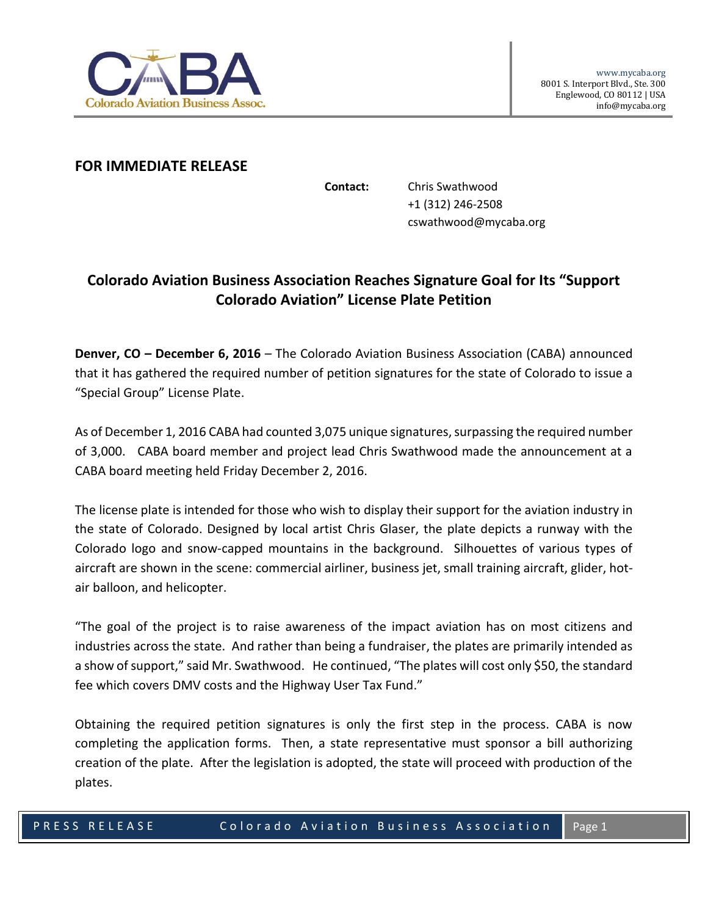

## **FOR IMMEDIATE RELEASE**

**Contact:** Chris Swathwood +1 (312) 246-2508 cswathwood@mycaba.org

## **Colorado Aviation Business Association Reaches Signature Goal for Its "Support Colorado Aviation" License Plate Petition**

**Denver, CO – December 6, 2016** – The Colorado Aviation Business Association (CABA) announced that it has gathered the required number of petition signatures for the state of Colorado to issue a "Special Group" License Plate.

As of December 1, 2016 CABA had counted 3,075 unique signatures, surpassing the required number of 3,000. CABA board member and project lead Chris Swathwood made the announcement at a CABA board meeting held Friday December 2, 2016.

The license plate is intended for those who wish to display their support for the aviation industry in the state of Colorado. Designed by local artist Chris Glaser, the plate depicts a runway with the Colorado logo and snow-capped mountains in the background. Silhouettes of various types of aircraft are shown in the scene: commercial airliner, business jet, small training aircraft, glider, hotair balloon, and helicopter.

"The goal of the project is to raise awareness of the impact aviation has on most citizens and industries across the state. And rather than being a fundraiser, the plates are primarily intended as a show of support," said Mr. Swathwood. He continued, "The plates will cost only \$50, the standard fee which covers DMV costs and the Highway User Tax Fund."

Obtaining the required petition signatures is only the first step in the process. CABA is now completing the application forms. Then, a state representative must sponsor a bill authorizing creation of the plate. After the legislation is adopted, the state will proceed with production of the plates.